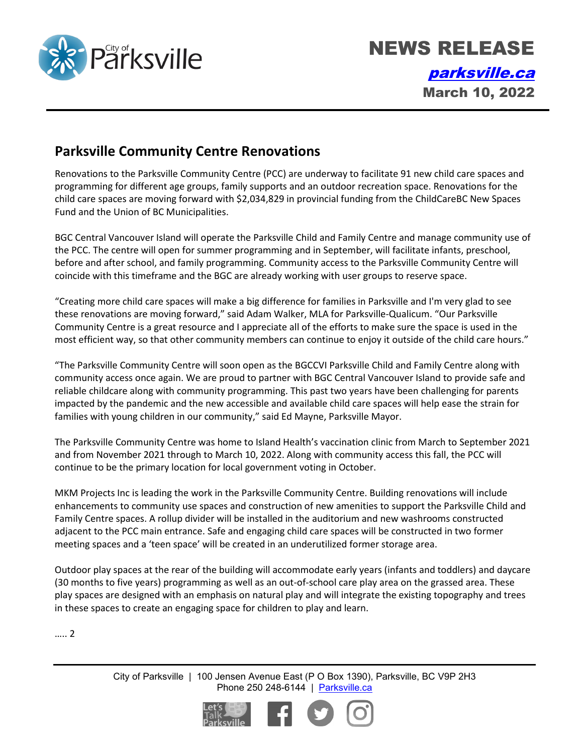

NEWS RELEASE [parksville.ca](http://www.parksville.ca/) March 10, 2022

## **Parksville Community Centre Renovations**

Renovations to the Parksville Community Centre (PCC) are underway to facilitate 91 new child care spaces and programming for different age groups, family supports and an outdoor recreation space. Renovations for the child care spaces are moving forward with \$2,034,829 in provincial funding from the ChildCareBC New Spaces Fund and the Union of BC Municipalities.

BGC Central Vancouver Island will operate the Parksville Child and Family Centre and manage community use of the PCC. The centre will open for summer programming and in September, will facilitate infants, preschool, before and after school, and family programming. Community access to the Parksville Community Centre will coincide with this timeframe and the BGC are already working with user groups to reserve space.

"Creating more child care spaces will make a big difference for families in Parksville and I'm very glad to see these renovations are moving forward," said Adam Walker, MLA for Parksville-Qualicum. "Our Parksville Community Centre is a great resource and I appreciate all of the efforts to make sure the space is used in the most efficient way, so that other community members can continue to enjoy it outside of the child care hours."

"The Parksville Community Centre will soon open as the BGCCVI Parksville Child and Family Centre along with community access once again. We are proud to partner with BGC Central Vancouver Island to provide safe and reliable childcare along with community programming. This past two years have been challenging for parents impacted by the pandemic and the new accessible and available child care spaces will help ease the strain for families with young children in our community," said Ed Mayne, Parksville Mayor.

The Parksville Community Centre was home to Island Health's vaccination clinic from March to September 2021 and from November 2021 through to March 10, 2022. Along with community access this fall, the PCC will continue to be the primary location for local government voting in October.

MKM Projects Inc is leading the work in the Parksville Community Centre. Building renovations will include enhancements to community use spaces and construction of new amenities to support the Parksville Child and Family Centre spaces. A rollup divider will be installed in the auditorium and new washrooms constructed adjacent to the PCC main entrance. Safe and engaging child care spaces will be constructed in two former meeting spaces and a 'teen space' will be created in an underutilized former storage area.

Outdoor play spaces at the rear of the building will accommodate early years (infants and toddlers) and daycare (30 months to five years) programming as well as an out-of-school care play area on the grassed area. These play spaces are designed with an emphasis on natural play and will integrate the existing topography and trees in these spaces to create an engaging space for children to play and learn.

….. 2

City of Parksville | 100 Jensen Avenue East (P O Box 1390), Parksville, BC V9P 2H3 Phone 250 248-6144 | [Parksville.ca](http://www.parksville.ca/)